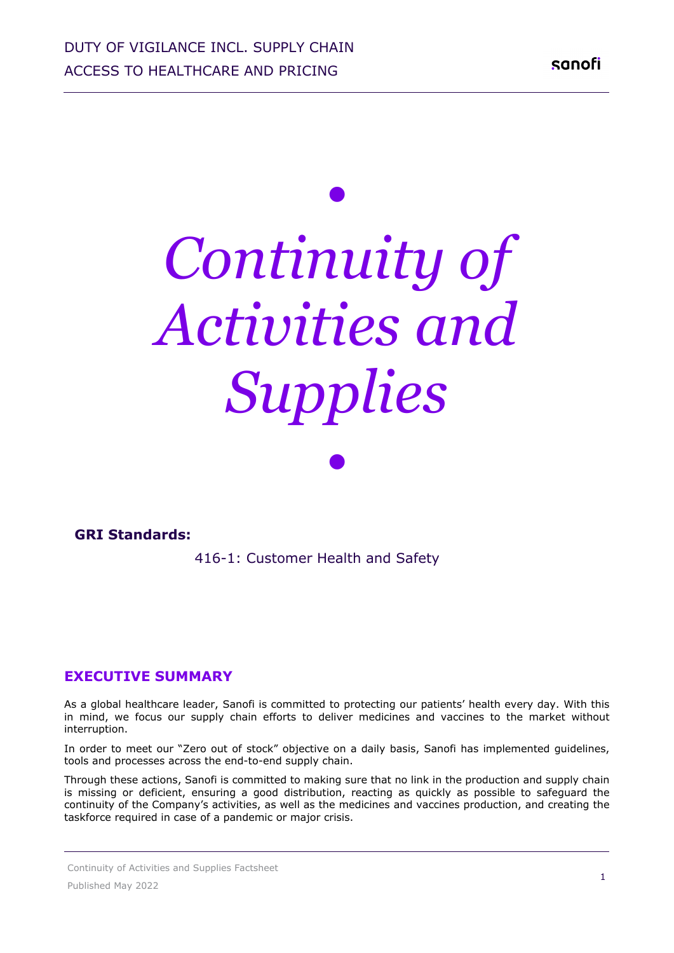# *• Continuity of Activities and Supplies*

*•*

#### **GRI Standards:**

416-1: Customer Health and Safety 

#### **EXECUTIVE SUMMARY**

As a global healthcare leader, Sanofi is committed to protecting our patients' health every day. With this in mind, we focus our supply chain efforts to deliver medicines and vaccines to the market without interruption.

In order to meet our "Zero out of stock" objective on a daily basis, Sanofi has implemented guidelines, tools and processes across the end-to-end supply chain.

Through these actions, Sanofi is committed to making sure that no link in the production and supply chain is missing or deficient, ensuring a good distribution, reacting as quickly as possible to safeguard the continuity of the Company's activities, as well as the medicines and vaccines production, and creating the taskforce required in case of a pandemic or major crisis.

Continuity of Activities and Supplies Factsheet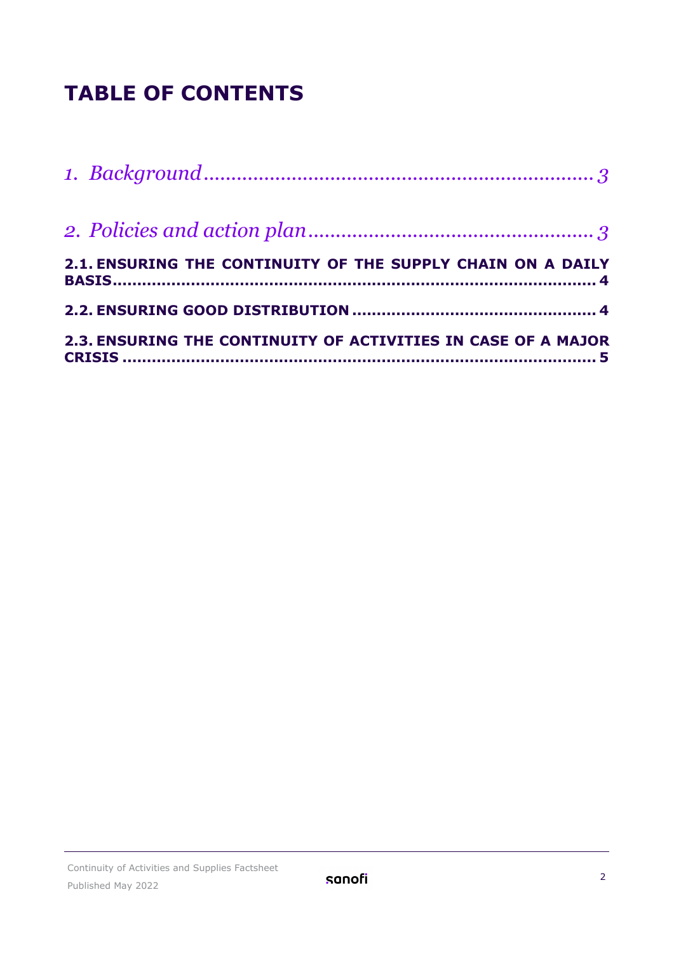## **TABLE OF CONTENTS**

| 2.1. ENSURING THE CONTINUITY OF THE SUPPLY CHAIN ON A DAILY   |
|---------------------------------------------------------------|
|                                                               |
| 2.3. ENSURING THE CONTINUITY OF ACTIVITIES IN CASE OF A MAJOR |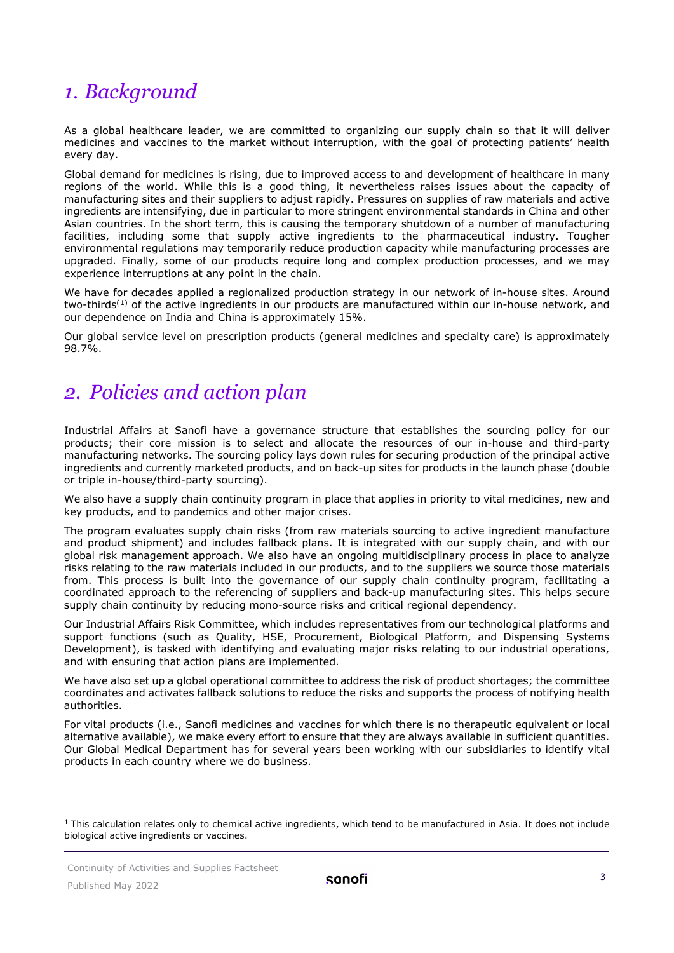## <span id="page-2-0"></span>*1. Background*

As a global healthcare leader, we are committed to organizing our supply chain so that it will deliver medicines and vaccines to the market without interruption, with the goal of protecting patients' health every day.

Global demand for medicines is rising, due to improved access to and development of healthcare in many regions of the world. While this is a good thing, it nevertheless raises issues about the capacity of manufacturing sites and their suppliers to adjust rapidly. Pressures on supplies of raw materials and active ingredients are intensifying, due in particular to more stringent environmental standards in China and other Asian countries. In the short term, this is causing the temporary shutdown of a number of manufacturing facilities, including some that supply active ingredients to the pharmaceutical industry. Tougher environmental regulations may temporarily reduce production capacity while manufacturing processes are upgraded. Finally, some of our products require long and complex production processes, and we may experience interruptions at any point in the chain.

We have for decades applied a regionalized production strategy in our network of in-house sites. Around two-thirds<sup>([1](#page-2-2))</sup> of the active ingredients in our products are manufactured within our in-house network, and our dependence on India and China is approximately 15%.

Our global service level on prescription products (general medicines and specialty care) is approximately 98.7%.

## <span id="page-2-1"></span>*2. Policies and action plan*

Industrial Affairs at Sanofi have a governance structure that establishes the sourcing policy for our products; their core mission is to select and allocate the resources of our in-house and third-party manufacturing networks. The sourcing policy lays down rules for securing production of the principal active ingredients and currently marketed products, and on back-up sites for products in the launch phase (double or triple in-house/third-party sourcing).

We also have a supply chain continuity program in place that applies in priority to vital medicines, new and key products, and to pandemics and other major crises.

The program evaluates supply chain risks (from raw materials sourcing to active ingredient manufacture and product shipment) and includes fallback plans. It is integrated with our supply chain, and with our global risk management approach. We also have an ongoing multidisciplinary process in place to analyze risks relating to the raw materials included in our products, and to the suppliers we source those materials from. This process is built into the governance of our supply chain continuity program, facilitating a coordinated approach to the referencing of suppliers and back-up manufacturing sites. This helps secure supply chain continuity by reducing mono-source risks and critical regional dependency.

Our Industrial Affairs Risk Committee, which includes representatives from our technological platforms and support functions (such as Quality, HSE, Procurement, Biological Platform, and Dispensing Systems Development), is tasked with identifying and evaluating major risks relating to our industrial operations, and with ensuring that action plans are implemented.

We have also set up a global operational committee to address the risk of product shortages; the committee coordinates and activates fallback solutions to reduce the risks and supports the process of notifying health authorities.

For vital products (i.e., Sanofi medicines and vaccines for which there is no therapeutic equivalent or local alternative available), we make every effort to ensure that they are always available in sufficient quantities. Our Global Medical Department has for several years been working with our subsidiaries to identify vital products in each country where we do business.

<span id="page-2-2"></span> $1$  This calculation relates only to chemical active ingredients, which tend to be manufactured in Asia. It does not include biological active ingredients or vaccines.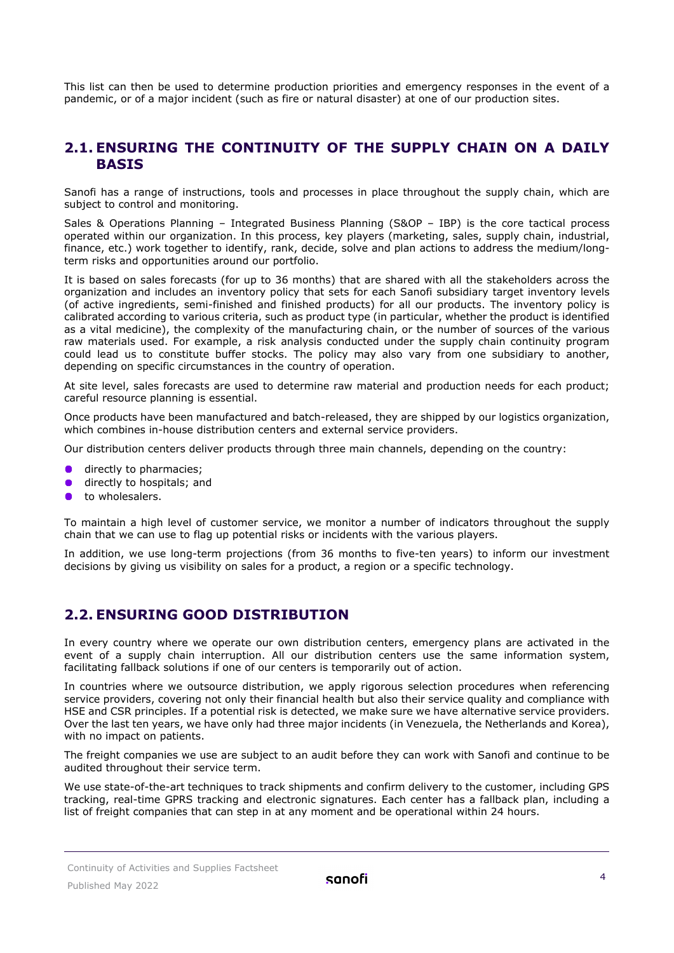This list can then be used to determine production priorities and emergency responses in the event of a pandemic, or of a major incident (such as fire or natural disaster) at one of our production sites.

## <span id="page-3-0"></span>**2.1. ENSURING THE CONTINUITY OF THE SUPPLY CHAIN ON A DAILY BASIS**

Sanofi has a range of instructions, tools and processes in place throughout the supply chain, which are subject to control and monitoring.

Sales & Operations Planning – Integrated Business Planning (S&OP – IBP) is the core tactical process operated within our organization. In this process, key players (marketing, sales, supply chain, industrial, finance, etc.) work together to identify, rank, decide, solve and plan actions to address the medium/longterm risks and opportunities around our portfolio.

It is based on sales forecasts (for up to 36 months) that are shared with all the stakeholders across the organization and includes an inventory policy that sets for each Sanofi subsidiary target inventory levels (of active ingredients, semi-finished and finished products) for all our products. The inventory policy is calibrated according to various criteria, such as product type (in particular, whether the product is identified as a vital medicine), the complexity of the manufacturing chain, or the number of sources of the various raw materials used. For example, a risk analysis conducted under the supply chain continuity program could lead us to constitute buffer stocks. The policy may also vary from one subsidiary to another, depending on specific circumstances in the country of operation.

At site level, sales forecasts are used to determine raw material and production needs for each product; careful resource planning is essential.

Once products have been manufactured and batch-released, they are shipped by our logistics organization, which combines in-house distribution centers and external service providers.

Our distribution centers deliver products through three main channels, depending on the country:

- **directly to pharmacies:**
- directly to hospitals; and
- to wholesalers.

To maintain a high level of customer service, we monitor a number of indicators throughout the supply chain that we can use to flag up potential risks or incidents with the various players.

In addition, we use long-term projections (from 36 months to five-ten years) to inform our investment decisions by giving us visibility on sales for a product, a region or a specific technology.

## <span id="page-3-1"></span>**2.2. ENSURING GOOD DISTRIBUTION**

In every country where we operate our own distribution centers, emergency plans are activated in the event of a supply chain interruption. All our distribution centers use the same information system, facilitating fallback solutions if one of our centers is temporarily out of action.

In countries where we outsource distribution, we apply rigorous selection procedures when referencing service providers, covering not only their financial health but also their service quality and compliance with HSE and CSR principles. If a potential risk is detected, we make sure we have alternative service providers. Over the last ten years, we have only had three major incidents (in Venezuela, the Netherlands and Korea), with no impact on patients.

The freight companies we use are subject to an audit before they can work with Sanofi and continue to be audited throughout their service term.

We use state-of-the-art techniques to track shipments and confirm delivery to the customer, including GPS tracking, real-time GPRS tracking and electronic signatures. Each center has a fallback plan, including a list of freight companies that can step in at any moment and be operational within 24 hours.

Continuity of Activities and Supplies Factsheet